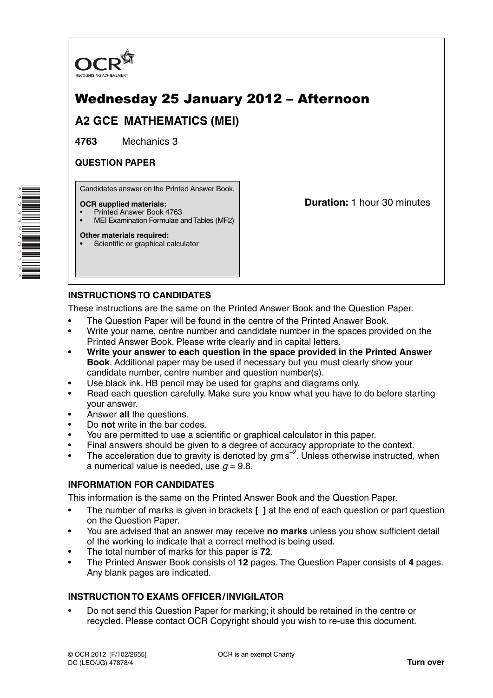

## Wednesday 25 January 2012 – Afternoon **A2 GCE MATHEMATICS (MEI)**

**4763** Mechanics 3

### **QUESTION PAPER**

Candidates answer on the Printed Answer Book.

#### **OCR supplied materials:**

- Printed Answer Book 4763
- MEI Examination Formulae and Tables (MF2)

#### **Other materials required:**

\*4733270112\*

**The Contract of the Contract of the Contract of the Contract of the Contract of The Contract of The Contract o** 

Scientific or graphical calculator

**Duration:** 1 hour 30 minutes

#### **INSTRUCTIONS TO CANDIDATES**

These instructions are the same on the Printed Answer Book and the Question Paper.

- The Question Paper will be found in the centre of the Printed Answer Book.
- Write your name, centre number and candidate number in the spaces provided on the Printed Answer Book. Please write clearly and in capital letters.
- **Write your answer to each question in the space provided in the Printed Answer Book**. Additional paper may be used if necessary but you must clearly show your candidate number, centre number and question number(s).
- Use black ink. HB pencil may be used for graphs and diagrams only.
- Read each question carefully. Make sure you know what you have to do before starting your answer.
- Answer **all** the questions.
- Do **not** write in the bar codes.
- You are permitted to use a scientific or graphical calculator in this paper.
- Final answers should be given to a degree of accuracy appropriate to the context.
- The acceleration due to gravity is denoted by  $g$ m s<sup>-2</sup>. Unless otherwise instructed, when a numerical value is needed, use  $q = 9.8$ .

#### **INFORMATION FOR CANDIDATES**

This information is the same on the Printed Answer Book and the Question Paper.

- The number of marks is given in brackets **[ ]** at the end of each question or part question on the Question Paper.
- You are advised that an answer may receive **no marks** unless you show sufficient detail of the working to indicate that a correct method is being used.
- The total number of marks for this paper is **72**.
- The Printed Answer Book consists of **12** pages. The Question Paper consists of **4** pages. Any blank pages are indicated.

#### **INSTRUCTION TO EXAMS OFFICER / INVIGILATOR**

• Do not send this Question Paper for marking; it should be retained in the centre or recycled. Please contact OCR Copyright should you wish to re-use this document.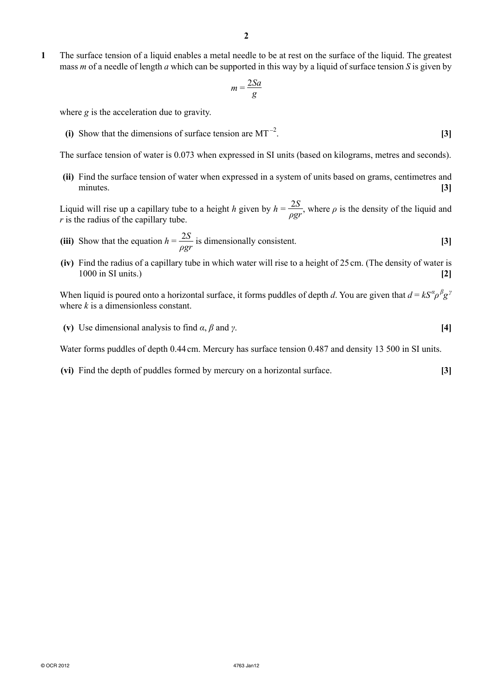**1** The surface tension of a liquid enables a metal needle to be at rest on the surface of the liquid. The greatest mass *m* of a needle of length *a* which can be supported in this way by a liquid of surface tension *S* is given by

$$
m = \frac{2Sa}{g}
$$

where *g* is the acceleration due to gravity.

**(i)** Show that the dimensions of surface tension are MT<sup> $-2$ </sup>. . **[3]**

The surface tension of water is 0.073 when expressed in SI units (based on kilograms, metres and seconds).

 **(ii)** Find the surface tension of water when expressed in a system of units based on grams, centimetres and minutes. **[3]**

Liquid will rise up a capillary tube to a height *h* given by  $h = \frac{2S}{\sigma}$  $\frac{25}{\rho gr}$ , where  $\rho$  is the density of the liquid and *r* is the radius of the capillary tube.

- (iii) Show that the equation  $h = \frac{2S}{\rho gr}$  is dimensionally consistent. [3]
	- **(iv)** Find the radius of a capillary tube in which water will rise to a height of 25 cm. (The density of water is 1000 in SI units.) **[2]**

When liquid is poured onto a horizontal surface, it forms puddles of depth *d*. You are given that  $d = kS^{\alpha} \rho^{\beta} g^{\gamma}$ where *k* is a dimensionless constant.

**(v)** Use dimensional analysis to find  $\alpha$ ,  $\beta$  and  $\gamma$ . **[4] [4]** 

Water forms puddles of depth 0.44 cm. Mercury has surface tension 0.487 and density 13 500 in SI units.

 **(vi)** Find the depth of puddles formed by mercury on a horizontal surface. **[3]**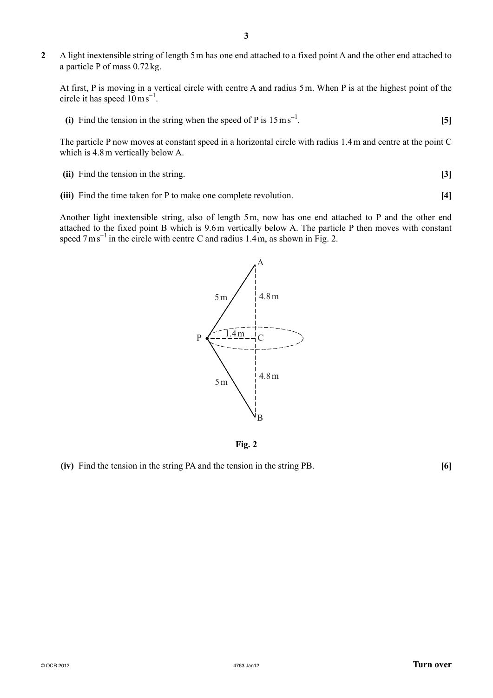**2** A light inextensible string of length 5 m has one end attached to a fixed point A and the other end attached to a particle P of mass 0.72 kg.

At first, P is moving in a vertical circle with centre A and radius 5 m. When P is at the highest point of the circle it has speed  $10 \text{ m s}^{-1}$ .

**(i)** Find the tension in the string when the speed of P is  $15 \text{ ms}^{-1}$ . . **[5]**

The particle P now moves at constant speed in a horizontal circle with radius 1.4 m and centre at the point C which is 4.8 m vertically below A.

- **(ii)** Find the tension in the string. **[3]**
- **(iii)** Find the time taken for P to make one complete revolution. **[4]**

Another light inextensible string, also of length 5 m, now has one end attached to P and the other end attached to the fixed point B which is 9.6 m vertically below A. The particle P then moves with constant speed  $7 \text{ m s}^{-1}$  in the circle with centre C and radius 1.4 m, as shown in Fig. 2.



**Fig. 2**

 **(iv)** Find the tension in the string PA and the tension in the string PB. **[6]**